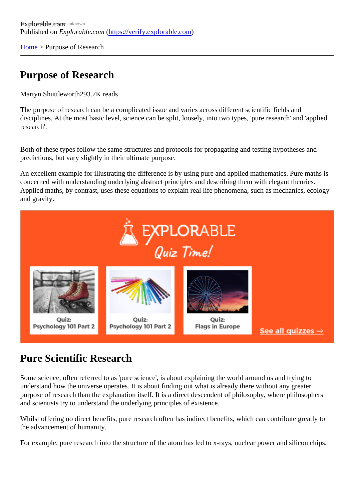[Home](https://verify.explorable.com/) > Purpose of Research

## Purpose of Research

Martyn Shuttlewort<sup>893.7K</sup> reads

The purpose of research can be a complicated issue and varies across different scientific fields and disciplines. At the most basic level, science can be split, loosely, into two types, 'pure research' and 'applie research'.

Both of these types follow the same structures and protocols for propagating and testing hypotheses and predictions, but vary slightly in their ultimate purpose.

An excellent example for illustrating the difference is by using pure and applied mathematics. Pure maths concerned with understanding underlying abstract principles and describing them with elegant theories. Applied maths, by contrast, uses these equations to explain real life phenomena, such as mechanics, eco and gravity.

## Pure Scientific Research

Some science, often referred to as 'pure science', is about explaining the world around us and trying to understand how the universe operates. It is about finding out what is already there without any greater purpose of research than the explanation itself. It is a direct descendent of philosophy, where philosophers and scientists try to understand the underlying principles of existence.

Whilst offering no direct benefits, pure research often has indirect benefits, which can contribute greatly to the advancement of humanity.

For example, pure research into the structure of the atom has led to x-rays, nuclear power and silicon chip